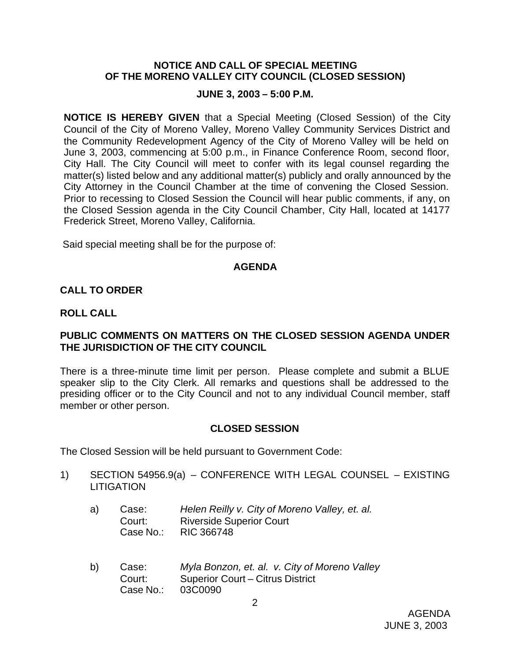### **NOTICE AND CALL OF SPECIAL MEETING OF THE MORENO VALLEY CITY COUNCIL (CLOSED SESSION)**

### **JUNE 3, 2003 – 5:00 P.M.**

**NOTICE IS HEREBY GIVEN** that a Special Meeting (Closed Session) of the City Council of the City of Moreno Valley, Moreno Valley Community Services District and the Community Redevelopment Agency of the City of Moreno Valley will be held on June 3, 2003, commencing at 5:00 p.m., in Finance Conference Room, second floor, City Hall. The City Council will meet to confer with its legal counsel regarding the matter(s) listed below and any additional matter(s) publicly and orally announced by the City Attorney in the Council Chamber at the time of convening the Closed Session. Prior to recessing to Closed Session the Council will hear public comments, if any, on the Closed Session agenda in the City Council Chamber, City Hall, located at 14177 Frederick Street, Moreno Valley, California.

Said special meeting shall be for the purpose of:

#### **AGENDA**

### **CALL TO ORDER**

#### **ROLL CALL**

## **PUBLIC COMMENTS ON MATTERS ON THE CLOSED SESSION AGENDA UNDER THE JURISDICTION OF THE CITY COUNCIL**

There is a three-minute time limit per person. Please complete and submit a BLUE speaker slip to the City Clerk. All remarks and questions shall be addressed to the presiding officer or to the City Council and not to any individual Council member, staff member or other person.

## **CLOSED SESSION**

The Closed Session will be held pursuant to Government Code:

- 1) SECTION 54956.9(a) CONFERENCE WITH LEGAL COUNSEL EXISTING **LITIGATION** 
	- a) Case: *Helen Reilly v. City of Moreno Valley, et. al.* Court: Riverside Superior Court<br>Case No.: RIC 366748 RIC 366748
	- b) Case: *Myla Bonzon, et. al. v. City of Moreno Valley* Court: Superior Court – Citrus District Case No.: 03C0090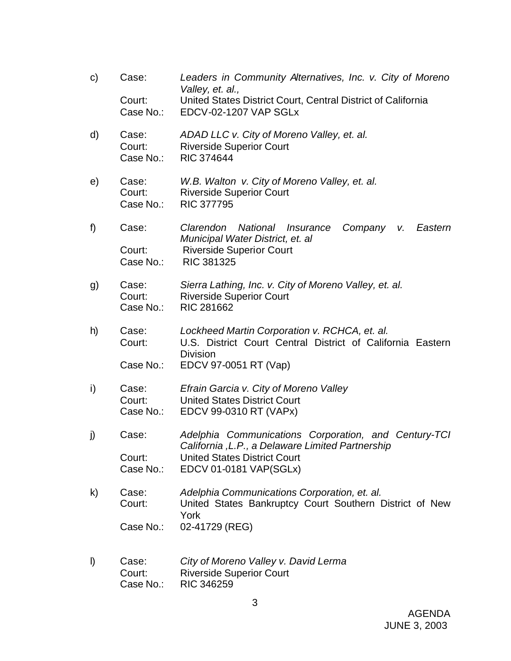c) Case: *Leaders in Community Alternatives, Inc. v. City of Moreno Valley, et. al.,* Court: United States District Court, Central District of California Case No.: EDCV-02-1207 VAP SGLx d) Case: *ADAD LLC v. City of Moreno Valley, et. al.* Court: Riverside Superior Court Case No.: RIC 374644 e) Case: *W.B. Walton v. City of Moreno Valley, et. al.* Court: Riverside Superior Court Case No.: RIC 377795 f) Case: *Clarendon National Insurance Company v. Eastern Municipal Water District, et. al* Court: Riverside Superior Court Case No.: RIC 381325 g) Case: *Sierra Lathing, Inc. v. City of Moreno Valley, et. al.* Court: Riverside Superior Court Case No.: RIC 281662 h) Case: *Lockheed Martin Corporation v. RCHCA, et. al.* Court: U.S. District Court Central District of California Eastern **Division** Case No.: EDCV 97-0051 RT (Vap) i) Case: *Efrain Garcia v. City of Moreno Valley* Court: United States District Court Case No.: EDCV 99-0310 RT (VAPx) j) Case: *Adelphia Communications Corporation, and Century-TCI California ,L.P., a Delaware Limited Partnership* Court: United States District Court Case No.: EDCV 01-0181 VAP(SGLx) k) Case: *Adelphia Communications Corporation, et. al.* Court: United States Bankruptcy Court Southern District of New York Case No.: 02-41729 (REG) l) Case: *City of Moreno Valley v. David Lerma* Court: Riverside Superior Court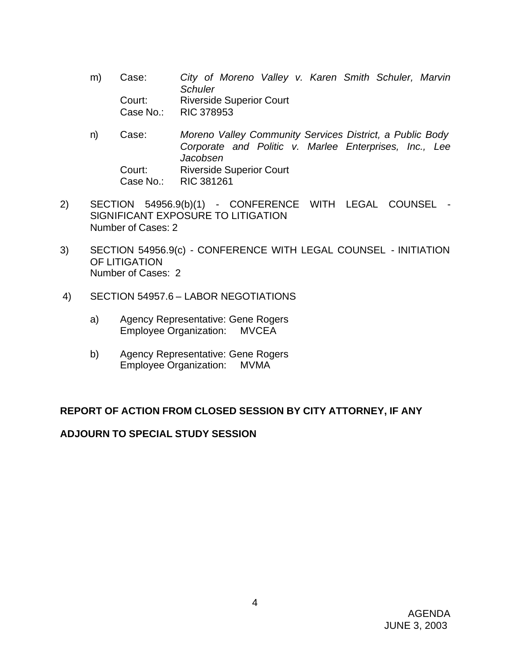- m) Case: *City of Moreno Valley v. Karen Smith Schuler, Marvin Schuler* Court: Riverside Superior Court Case No.: RIC 378953
- n) Case: *Moreno Valley Community Services District, a Public Body Corporate and Politic v. Marlee Enterprises, Inc., Lee Jacobsen* Court: Riverside Superior Court Case No.: RIC 381261
- 2) SECTION 54956.9(b)(1) CONFERENCE WITH LEGAL COUNSEL SIGNIFICANT EXPOSURE TO LITIGATION Number of Cases: 2
- 3) SECTION 54956.9(c) CONFERENCE WITH LEGAL COUNSEL INITIATION OF LITIGATION Number of Cases: 2
- 4) SECTION 54957.6 LABOR NEGOTIATIONS
	- a) Agency Representative: Gene Rogers Employee Organization: MVCEA
	- b) Agency Representative: Gene Rogers Employee Organization: MVMA

# **REPORT OF ACTION FROM CLOSED SESSION BY CITY ATTORNEY, IF ANY**

## **ADJOURN TO SPECIAL STUDY SESSION**